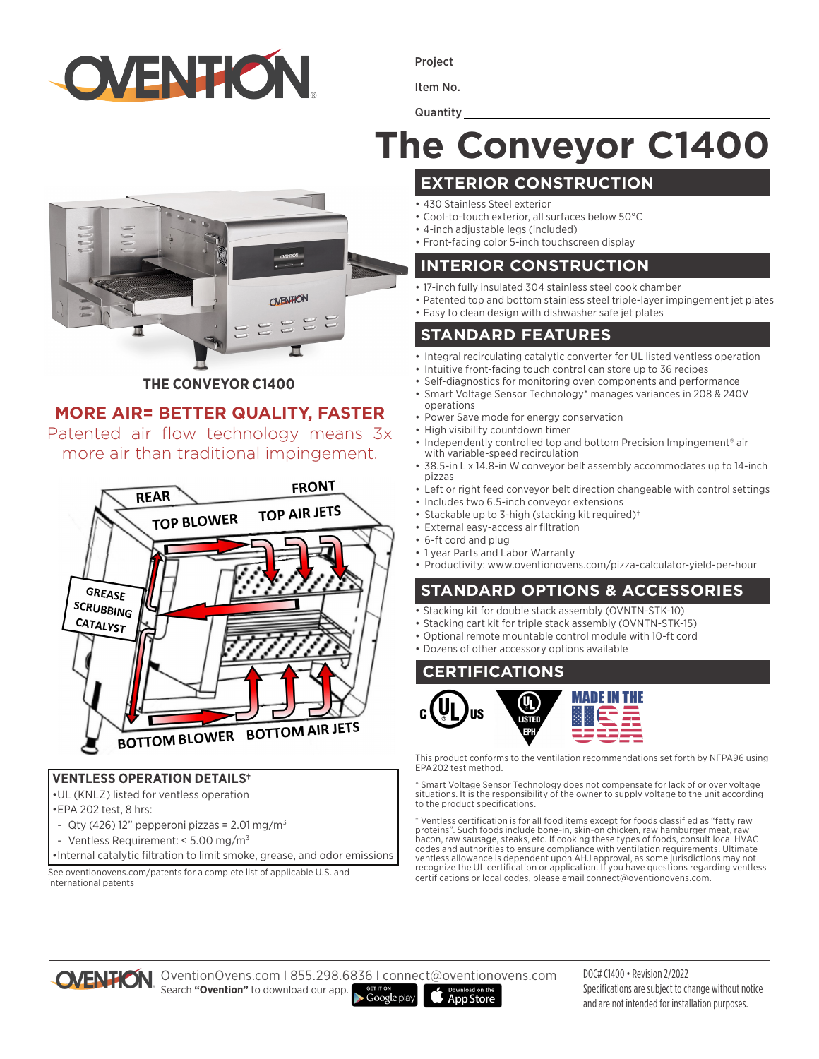

Project

Item No.

**Quantity** 

# **The Conveyor C1400**

# CNENTION

### **THE CONVEYOR C1400**

# **MORE AIR= BETTER QUALITY, FASTER**

Patented air flow technology means 3x more air than traditional impingement.



### **VENTLESS OPERATION DETAILS†**

•UL (KNLZ) listed for ventless operation

- •EPA 202 test, 8 hrs:
- Qty (426) 12" pepperoni pizzas =  $2.01 \,\mathrm{mg/m^3}$
- Ventless Requirement: < 5.00 mg/m3
- •Internal catalytic filtration to limit smoke, grease, and odor emissions

See oventionovens.com/patents for a complete list of applicable U.S. and international patents

- **EXTERIOR CONSTRUCTION**
- 430 Stainless Steel exterior
- Cool-to-touch exterior, all surfaces below 50°C
- 4-inch adjustable legs (included)
- Front-facing color 5-inch touchscreen display

### **INTERIOR CONSTRUCTION**

- 17-inch fully insulated 304 stainless steel cook chamber
- Patented top and bottom stainless steel triple-layer impingement jet plates
- Easy to clean design with dishwasher safe jet plates

# **STANDARD FEATURES**

- Integral recirculating catalytic converter for UL listed ventless operation
- Intuitive front-facing touch control can store up to 36 recipes
- Self-diagnostics for monitoring oven components and performance
- Smart Voltage Sensor Technology\* manages variances in 208 & 240V operations
- Power Save mode for energy conservation
- High visibility countdown timer
- Independently controlled top and bottom Precision Impingement<sup>®</sup> air with variable-speed recirculation
- 38.5-in L x 14.8-in W conveyor belt assembly accommodates up to 14-inch pizzas
- Left or right feed conveyor belt direction changeable with control settings • Includes two 6.5-inch conveyor extensions
- Stackable up to 3-high (stacking kit required)†
- External easy-access air filtration
- 
- 1 year Parts and Labor Warranty
- Productivity: www.oventionovens.com/pizza-calculator-yield-per-hour

# **STANDARD OPTIONS & ACCESSORIES**

- Stacking kit for double stack assembly (OVNTN-STK-10)
- Stacking cart kit for triple stack assembly (OVNTN-STK-15)
- Optional remote mountable control module with 10-ft cord
- Dozens of other accessory options available

# **CERTIFICATIONS**



This product conforms to the ventilation recommendations set forth by NFPA96 using EPA202 test method.

\* Smart Voltage Sensor Technology does not compensate for lack of or over voltage situations. It is the responsibility of the owner to supply voltage to the unit according to the product specifications.

† Ventless certification is for all food items except for foods classified as "fatty raw proteins". Such foods include bone-in, skin-on chicken, raw hamburger meat, raw bacon, raw sausage, steaks, etc. If cooking these types of foods, consult local HVAC codes and authorities to ensure compliance with ventilation requirements. Ultimate ventless allowance is dependent upon AHJ approval, as some jurisdictions may not recognize the UL certification or application. If you have questions regarding ventless certifications or local codes, please email connect@oventionovens.com.



OventionOvens.com I 855.298.6836 I connect@oventionovens.com Search **"Ovention"** to download our app.

 $\blacktriangleright$  Google play **App Store**  DOC# C1400 • Revision 2/2022 Specifications are subject to change without notice and are not intended for installation purposes.

• 6-ft cord and plug